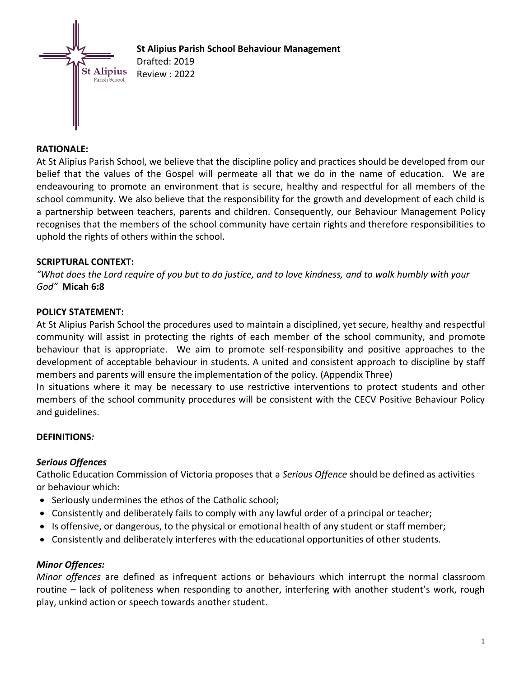

# **St Alipius Parish School Behaviour Management**  Drafted: 2019 Review : 2022

# **RATIONALE:**

At St Alipius Parish School, we believe that the discipline policy and practices should be developed from our belief that the values of the Gospel will permeate all that we do in the name of education. We are endeavouring to promote an environment that is secure, healthy and respectful for all members of the school community. We also believe that the responsibility for the growth and development of each child is a partnership between teachers, parents and children. Consequently, our Behaviour Management Policy recognises that the members of the school community have certain rights and therefore responsibilities to uphold the rights of others within the school.

#### **SCRIPTURAL CONTEXT:**

*"What does the Lord require of you but to do justice, and to love kindness, and to walk humbly with your God"* **Micah 6:8**

#### **POLICY STATEMENT:**

At St Alipius Parish School the procedures used to maintain a disciplined, yet secure, healthy and respectful community will assist in protecting the rights of each member of the school community, and promote behaviour that is appropriate. We aim to promote self-responsibility and positive approaches to the development of acceptable behaviour in students. A united and consistent approach to discipline by staff members and parents will ensure the implementation of the policy. (Appendix Three)

In situations where it may be necessary to use restrictive interventions to protect students and other members of the school community procedures will be consistent with the CECV Positive Behaviour Policy and guidelines.

#### **DEFINITIONS***:*

# *Serious Offences*

Catholic Education Commission of Victoria proposes that a *Serious Offence* should be defined as activities or behaviour which:

- Seriously undermines the ethos of the Catholic school;
- Consistently and deliberately fails to comply with any lawful order of a principal or teacher;
- Is offensive, or dangerous, to the physical or emotional health of any student or staff member;
- Consistently and deliberately interferes with the educational opportunities of other students.

#### *Minor Offences:*

*Minor offences* are defined as infrequent actions or behaviours which interrupt the normal classroom routine – lack of politeness when responding to another, interfering with another student's work, rough play, unkind action or speech towards another student.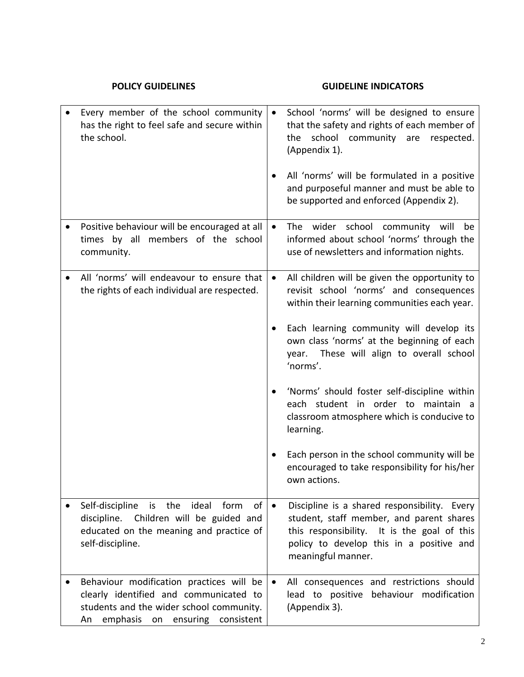| <b>POLICY GUIDELINES</b>                                                                                                                                             |           | <b>GUIDELINE INDICATORS</b>                                                                                                                                                                               |
|----------------------------------------------------------------------------------------------------------------------------------------------------------------------|-----------|-----------------------------------------------------------------------------------------------------------------------------------------------------------------------------------------------------------|
| Every member of the school community<br>has the right to feel safe and secure within<br>the school.                                                                  | $\bullet$ | School 'norms' will be designed to ensure<br>that the safety and rights of each member of<br>school community are<br>the<br>respected.<br>(Appendix 1).                                                   |
|                                                                                                                                                                      |           | All 'norms' will be formulated in a positive<br>and purposeful manner and must be able to<br>be supported and enforced (Appendix 2).                                                                      |
| Positive behaviour will be encouraged at all<br>times by all members of the school<br>community.                                                                     | $\bullet$ | The wider school community will<br>be<br>informed about school 'norms' through the<br>use of newsletters and information nights.                                                                          |
| All 'norms' will endeavour to ensure that<br>the rights of each individual are respected.                                                                            | $\bullet$ | All children will be given the opportunity to<br>revisit school 'norms' and consequences<br>within their learning communities each year.                                                                  |
|                                                                                                                                                                      |           | Each learning community will develop its<br>own class 'norms' at the beginning of each<br>year. These will align to overall school<br>'norms'.                                                            |
|                                                                                                                                                                      |           | 'Norms' should foster self-discipline within<br>each student in order to maintain a<br>classroom atmosphere which is conducive to<br>learning.                                                            |
|                                                                                                                                                                      |           | Each person in the school community will be<br>encouraged to take responsibility for his/her<br>own actions.                                                                                              |
| Self-discipline is the ideal<br>of<br>form<br>Children will be guided and<br>discipline.<br>educated on the meaning and practice of<br>self-discipline.              | $\bullet$ | Discipline is a shared responsibility. Every<br>student, staff member, and parent shares<br>this responsibility. It is the goal of this<br>policy to develop this in a positive and<br>meaningful manner. |
| Behaviour modification practices will be<br>clearly identified and communicated to<br>students and the wider school community.<br>An emphasis on ensuring consistent | $\bullet$ | All consequences and restrictions should<br>lead to positive behaviour modification<br>(Appendix 3).                                                                                                      |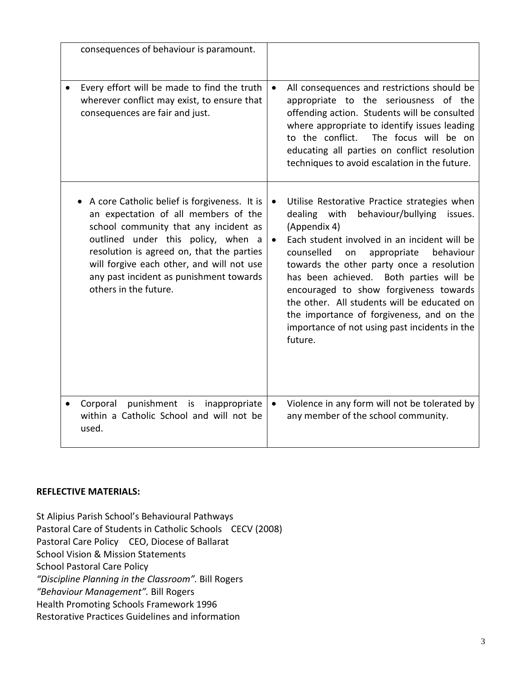| consequences of behaviour is paramount.                                                                                                                                                                                                                                                                                           |                                                                                                                                                                                                                                                                                                                                                                                                                                                                                                                                |
|-----------------------------------------------------------------------------------------------------------------------------------------------------------------------------------------------------------------------------------------------------------------------------------------------------------------------------------|--------------------------------------------------------------------------------------------------------------------------------------------------------------------------------------------------------------------------------------------------------------------------------------------------------------------------------------------------------------------------------------------------------------------------------------------------------------------------------------------------------------------------------|
| Every effort will be made to find the truth<br>wherever conflict may exist, to ensure that<br>consequences are fair and just.                                                                                                                                                                                                     | All consequences and restrictions should be<br>$\bullet$<br>appropriate to the seriousness of the<br>offending action. Students will be consulted<br>where appropriate to identify issues leading<br>to the conflict. The focus will be on<br>educating all parties on conflict resolution<br>techniques to avoid escalation in the future.                                                                                                                                                                                    |
| A core Catholic belief is forgiveness. It is<br>an expectation of all members of the<br>school community that any incident as<br>outlined under this policy, when a<br>resolution is agreed on, that the parties<br>will forgive each other, and will not use<br>any past incident as punishment towards<br>others in the future. | Utilise Restorative Practice strategies when<br>$\bullet$<br>dealing with<br>behaviour/bullying issues.<br>(Appendix 4)<br>Each student involved in an incident will be<br>$\bullet$<br>counselled<br>appropriate<br>behaviour<br>on<br>towards the other party once a resolution<br>has been achieved. Both parties will be<br>encouraged to show forgiveness towards<br>the other. All students will be educated on<br>the importance of forgiveness, and on the<br>importance of not using past incidents in the<br>future. |
| Corporal punishment is inappropriate<br>within a Catholic School and will not be<br>used.                                                                                                                                                                                                                                         | Violence in any form will not be tolerated by<br>$\bullet$<br>any member of the school community.                                                                                                                                                                                                                                                                                                                                                                                                                              |

# **REFLECTIVE MATERIALS:**

St Alipius Parish School's Behavioural Pathways Pastoral Care of Students in Catholic Schools CECV (2008) Pastoral Care Policy CEO, Diocese of Ballarat School Vision & Mission Statements School Pastoral Care Policy *"Discipline Planning in the Classroom".* Bill Rogers *"Behaviour Management".* Bill Rogers Health Promoting Schools Framework 1996 Restorative Practices Guidelines and information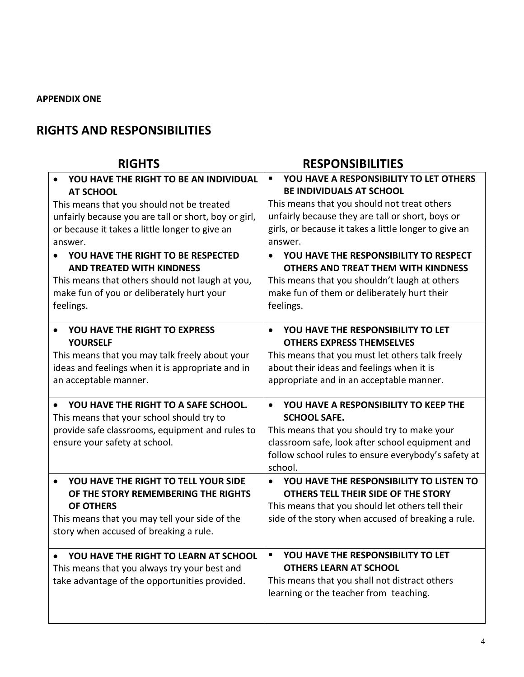# **APPENDIX ONE**

# **RIGHTS AND RESPONSIBILITIES**

#### **RIGHTS RESPONSIBILITIES** • **YOU HAVE THE RIGHT TO BE AN INDIVIDUAL AT SCHOOL** This means that you should not be treated unfairly because you are tall or short, boy or girl, or because it takes a little longer to give an answer. ▪ **YOU HAVE A RESPONSIBILITY TO LET OTHERS BE INDIVIDUALS AT SCHOOL** This means that you should not treat others unfairly because they are tall or short, boys or girls, or because it takes a little longer to give an answer. • **YOU HAVE THE RIGHT TO BE RESPECTED AND TREATED WITH KINDNESS** This means that others should not laugh at you, make fun of you or deliberately hurt your feelings. • **YOU HAVE THE RESPONSIBILITY TO RESPECT OTHERS AND TREAT THEM WITH KINDNESS** This means that you shouldn't laugh at others make fun of them or deliberately hurt their feelings. • **YOU HAVE THE RIGHT TO EXPRESS YOURSELF** This means that you may talk freely about your ideas and feelings when it is appropriate and in an acceptable manner. • **YOU HAVE THE RESPONSIBILITY TO LET OTHERS EXPRESS THEMSELVES** This means that you must let others talk freely about their ideas and feelings when it is appropriate and in an acceptable manner. • **YOU HAVE THE RIGHT TO A SAFE SCHOOL.** This means that your school should try to provide safe classrooms, equipment and rules to ensure your safety at school. • **YOU HAVE A RESPONSIBILITY TO KEEP THE SCHOOL SAFE.** This means that you should try to make your classroom safe, look after school equipment and follow school rules to ensure everybody's safety at school. • **YOU HAVE THE RIGHT TO TELL YOUR SIDE OF THE STORY REMEMBERING THE RIGHTS OF OTHERS** This means that you may tell your side of the story when accused of breaking a rule. • **YOU HAVE THE RESPONSIBILITY TO LISTEN TO OTHERS TELL THEIR SIDE OF THE STORY** This means that you should let others tell their side of the story when accused of breaking a rule. • **YOU HAVE THE RIGHT TO LEARN AT SCHOOL** This means that you always try your best and take advantage of the opportunities provided. ▪ **YOU HAVE THE RESPONSIBILITY TO LET OTHERS LEARN AT SCHOOL** This means that you shall not distract others learning or the teacher from teaching.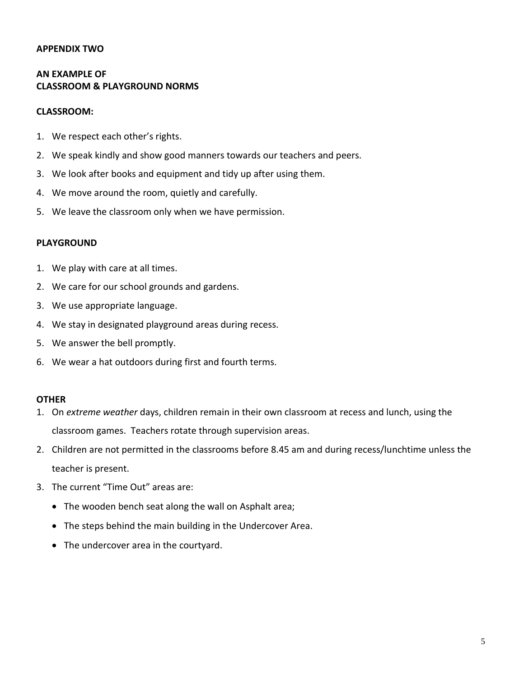# **APPENDIX TWO**

# **AN EXAMPLE OF CLASSROOM & PLAYGROUND NORMS**

#### **CLASSROOM:**

- 1. We respect each other's rights.
- 2. We speak kindly and show good manners towards our teachers and peers.
- 3. We look after books and equipment and tidy up after using them.
- 4. We move around the room, quietly and carefully.
- 5. We leave the classroom only when we have permission.

#### **PLAYGROUND**

- 1. We play with care at all times.
- 2. We care for our school grounds and gardens.
- 3. We use appropriate language.
- 4. We stay in designated playground areas during recess.
- 5. We answer the bell promptly.
- 6. We wear a hat outdoors during first and fourth terms.

### **OTHER**

- 1. On *extreme weather* days, children remain in their own classroom at recess and lunch, using the classroom games. Teachers rotate through supervision areas.
- 2. Children are not permitted in the classrooms before 8.45 am and during recess/lunchtime unless the teacher is present.
- 3. The current "Time Out" areas are:
	- The wooden bench seat along the wall on Asphalt area;
	- The steps behind the main building in the Undercover Area.
	- The undercover area in the courtyard.